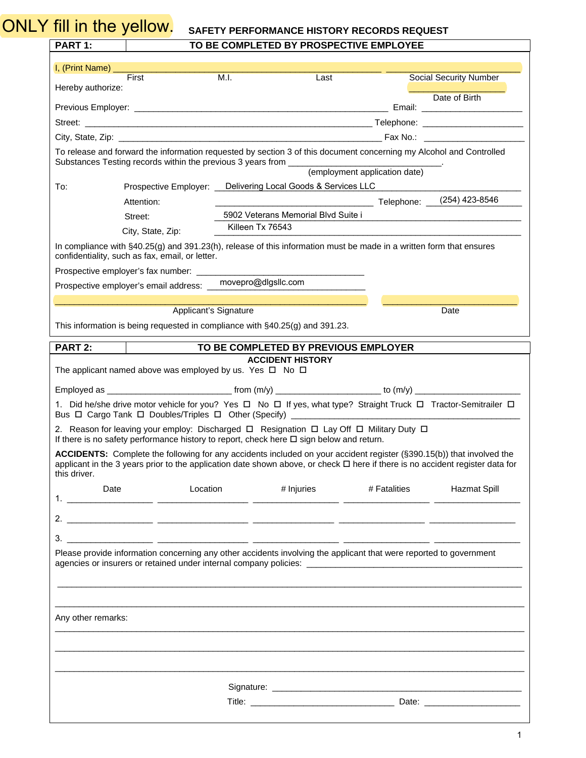## ONLY fill in the yellow. SAFETY PERFORMANCE HISTORY RECORDS REQUEST

| TO BE COMPLETED BY PROSPECTIVE EMPLOYEE |
|-----------------------------------------|
|-----------------------------------------|

| <b>PART 1:</b>                                                                                                                                                                                                                                                                                                                                                          |                                                                                                                                                                                                                                |                     | TO BE COMPLETED BY PROSPECTIVE EMPLOYEE |              |  |                               |  |
|-------------------------------------------------------------------------------------------------------------------------------------------------------------------------------------------------------------------------------------------------------------------------------------------------------------------------------------------------------------------------|--------------------------------------------------------------------------------------------------------------------------------------------------------------------------------------------------------------------------------|---------------------|-----------------------------------------|--------------|--|-------------------------------|--|
| I, (Print Name) ________                                                                                                                                                                                                                                                                                                                                                |                                                                                                                                                                                                                                |                     |                                         |              |  |                               |  |
| Hereby authorize:                                                                                                                                                                                                                                                                                                                                                       | First                                                                                                                                                                                                                          | M.I.                | Last                                    |              |  | <b>Social Security Number</b> |  |
|                                                                                                                                                                                                                                                                                                                                                                         |                                                                                                                                                                                                                                |                     |                                         |              |  | Date of Birth                 |  |
|                                                                                                                                                                                                                                                                                                                                                                         |                                                                                                                                                                                                                                |                     |                                         |              |  |                               |  |
|                                                                                                                                                                                                                                                                                                                                                                         |                                                                                                                                                                                                                                |                     |                                         |              |  |                               |  |
| To release and forward the information requested by section 3 of this document concerning my Alcohol and Controlled                                                                                                                                                                                                                                                     |                                                                                                                                                                                                                                |                     |                                         |              |  |                               |  |
| To:                                                                                                                                                                                                                                                                                                                                                                     | Prospective Employer: Delivering Local Goods & Services LLC                                                                                                                                                                    |                     |                                         |              |  |                               |  |
|                                                                                                                                                                                                                                                                                                                                                                         | Attention:                                                                                                                                                                                                                     |                     |                                         |              |  |                               |  |
|                                                                                                                                                                                                                                                                                                                                                                         | Street:                                                                                                                                                                                                                        |                     | 5902 Veterans Memorial Blvd Suite i     |              |  |                               |  |
|                                                                                                                                                                                                                                                                                                                                                                         | City, State, Zip:                                                                                                                                                                                                              | Killeen Tx 76543    |                                         |              |  |                               |  |
| In compliance with $\S40.25(g)$ and 391.23(h), release of this information must be made in a written form that ensures<br>confidentiality, such as fax, email, or letter.                                                                                                                                                                                               |                                                                                                                                                                                                                                |                     |                                         |              |  |                               |  |
|                                                                                                                                                                                                                                                                                                                                                                         |                                                                                                                                                                                                                                |                     |                                         |              |  |                               |  |
|                                                                                                                                                                                                                                                                                                                                                                         | Prospective employer's email address: _                                                                                                                                                                                        | movepro@dlgsllc.com |                                         |              |  |                               |  |
|                                                                                                                                                                                                                                                                                                                                                                         | <b>Applicant's Signature</b>                                                                                                                                                                                                   |                     |                                         |              |  | Date                          |  |
|                                                                                                                                                                                                                                                                                                                                                                         | This information is being requested in compliance with §40.25(g) and 391.23.                                                                                                                                                   |                     |                                         |              |  |                               |  |
| PART 2:                                                                                                                                                                                                                                                                                                                                                                 |                                                                                                                                                                                                                                |                     | TO BE COMPLETED BY PREVIOUS EMPLOYER    |              |  |                               |  |
|                                                                                                                                                                                                                                                                                                                                                                         | The applicant named above was employed by us. Yes $\Box$ No $\Box$                                                                                                                                                             |                     | <b>ACCIDENT HISTORY</b>                 |              |  |                               |  |
|                                                                                                                                                                                                                                                                                                                                                                         |                                                                                                                                                                                                                                |                     |                                         |              |  |                               |  |
|                                                                                                                                                                                                                                                                                                                                                                         | 1. Did he/she drive motor vehicle for you? Yes $\Box$ No $\Box$ If yes, what type? Straight Truck $\Box$ Tractor-Semitrailer $\Box$<br>Bus $\Box$ Cargo Tank $\Box$ Doubles/Triples $\Box$ Other (Specify) ___________________ |                     |                                         |              |  |                               |  |
|                                                                                                                                                                                                                                                                                                                                                                         | 2. Reason for leaving your employ: Discharged $\Box$ Resignation $\Box$ Lay Off $\Box$ Military Duty $\Box$                                                                                                                    |                     |                                         |              |  |                               |  |
| If there is no safety performance history to report, check here $\Box$ sign below and return.<br>ACCIDENTS: Complete the following for any accidents included on your accident register (§390.15(b)) that involved the<br>applicant in the 3 years prior to the application date shown above, or check □ here if there is no accident register data for<br>this driver. |                                                                                                                                                                                                                                |                     |                                         |              |  |                               |  |
| Date                                                                                                                                                                                                                                                                                                                                                                    | Location                                                                                                                                                                                                                       |                     | # Injuries                              | # Fatalities |  | Hazmat Spill                  |  |
|                                                                                                                                                                                                                                                                                                                                                                         |                                                                                                                                                                                                                                | — —                 |                                         |              |  |                               |  |
|                                                                                                                                                                                                                                                                                                                                                                         |                                                                                                                                                                                                                                |                     |                                         |              |  |                               |  |
|                                                                                                                                                                                                                                                                                                                                                                         | Please provide information concerning any other accidents involving the applicant that were reported to government                                                                                                             |                     |                                         |              |  |                               |  |
| Any other remarks:                                                                                                                                                                                                                                                                                                                                                      |                                                                                                                                                                                                                                |                     |                                         |              |  |                               |  |
|                                                                                                                                                                                                                                                                                                                                                                         |                                                                                                                                                                                                                                |                     |                                         |              |  |                               |  |
|                                                                                                                                                                                                                                                                                                                                                                         |                                                                                                                                                                                                                                |                     |                                         |              |  |                               |  |
| Signature: the contract of the contract of the contract of the contract of the contract of the contract of the contract of the contract of the contract of the contract of the contract of the contract of the contract of the                                                                                                                                          |                                                                                                                                                                                                                                |                     |                                         |              |  |                               |  |
|                                                                                                                                                                                                                                                                                                                                                                         |                                                                                                                                                                                                                                |                     |                                         |              |  |                               |  |
|                                                                                                                                                                                                                                                                                                                                                                         |                                                                                                                                                                                                                                |                     |                                         |              |  |                               |  |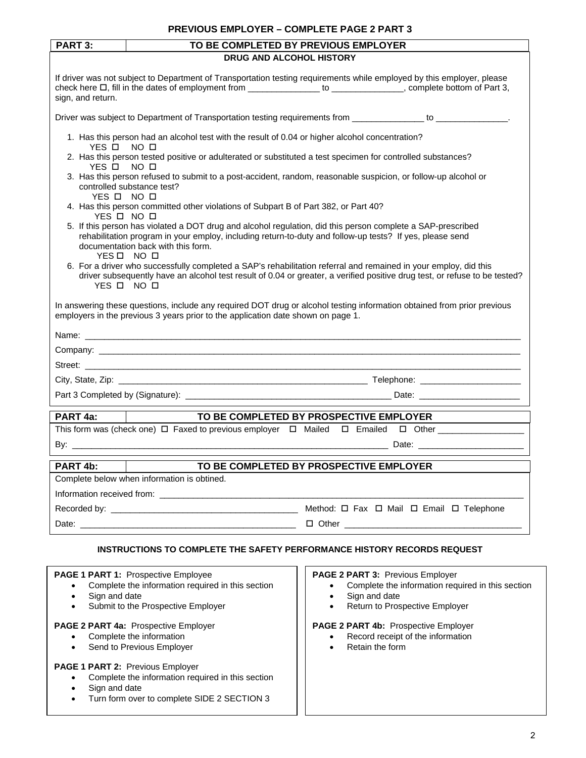## **PREVIOUS EMPLOYER – COMPLETE PAGE 2 PART 3**

| PART 3:<br>TO BE COMPLETED BY PREVIOUS EMPLOYER                                                                              |                                                                                                                                                                                                                                                                             |                                         |                                                                           |  |  |  |  |
|------------------------------------------------------------------------------------------------------------------------------|-----------------------------------------------------------------------------------------------------------------------------------------------------------------------------------------------------------------------------------------------------------------------------|-----------------------------------------|---------------------------------------------------------------------------|--|--|--|--|
| DRUG AND ALCOHOL HISTORY                                                                                                     |                                                                                                                                                                                                                                                                             |                                         |                                                                           |  |  |  |  |
| sign, and return.                                                                                                            | If driver was not subject to Department of Transportation testing requirements while employed by this employer, please<br>check here $\Box$ , fill in the dates of employment from _________________ to _____________, complete bottom of Part 3,                           |                                         |                                                                           |  |  |  |  |
|                                                                                                                              | Driver was subject to Department of Transportation testing requirements from _______________ to _______________.                                                                                                                                                            |                                         |                                                                           |  |  |  |  |
| YFS □                                                                                                                        | 1. Has this person had an alcohol test with the result of 0.04 or higher alcohol concentration?<br>NO □                                                                                                                                                                     |                                         |                                                                           |  |  |  |  |
| 2. Has this person tested positive or adulterated or substituted a test specimen for controlled substances?<br>YES O<br>NO □ |                                                                                                                                                                                                                                                                             |                                         |                                                                           |  |  |  |  |
|                                                                                                                              | 3. Has this person refused to submit to a post-accident, random, reasonable suspicion, or follow-up alcohol or<br>controlled substance test?<br>YES O NO O                                                                                                                  |                                         |                                                                           |  |  |  |  |
| YES O NO O                                                                                                                   | 4. Has this person committed other violations of Subpart B of Part 382, or Part 40?                                                                                                                                                                                         |                                         |                                                                           |  |  |  |  |
|                                                                                                                              | 5. If this person has violated a DOT drug and alcohol regulation, did this person complete a SAP-prescribed<br>rehabilitation program in your employ, including return-to-duty and follow-up tests? If yes, please send<br>documentation back with this form.<br>YES O NO O |                                         |                                                                           |  |  |  |  |
| YES O NO O                                                                                                                   | 6. For a driver who successfully completed a SAP's rehabilitation referral and remained in your employ, did this<br>driver subsequently have an alcohol test result of 0.04 or greater, a verified positive drug test, or refuse to be tested?                              |                                         |                                                                           |  |  |  |  |
|                                                                                                                              | In answering these questions, include any required DOT drug or alcohol testing information obtained from prior previous<br>employers in the previous 3 years prior to the application date shown on page 1.                                                                 |                                         |                                                                           |  |  |  |  |
|                                                                                                                              |                                                                                                                                                                                                                                                                             |                                         |                                                                           |  |  |  |  |
|                                                                                                                              |                                                                                                                                                                                                                                                                             |                                         |                                                                           |  |  |  |  |
|                                                                                                                              |                                                                                                                                                                                                                                                                             |                                         |                                                                           |  |  |  |  |
|                                                                                                                              |                                                                                                                                                                                                                                                                             |                                         |                                                                           |  |  |  |  |
|                                                                                                                              |                                                                                                                                                                                                                                                                             |                                         |                                                                           |  |  |  |  |
| PART 4a:                                                                                                                     | TO BE COMPLETED BY PROSPECTIVE EMPLOYER                                                                                                                                                                                                                                     |                                         |                                                                           |  |  |  |  |
|                                                                                                                              | This form was (check one) $\Box$ Faxed to previous employer $\Box$ Mailed $\Box$ Emailed $\Box$ Other                                                                                                                                                                       |                                         |                                                                           |  |  |  |  |
| By: $\overline{\phantom{iiiiiiiiiiiiiii}}$                                                                                   |                                                                                                                                                                                                                                                                             |                                         |                                                                           |  |  |  |  |
|                                                                                                                              |                                                                                                                                                                                                                                                                             |                                         |                                                                           |  |  |  |  |
| PART 4b:                                                                                                                     | TO BE COMPLETED BY PROSPECTIVE EMPLOYER                                                                                                                                                                                                                                     |                                         |                                                                           |  |  |  |  |
|                                                                                                                              | Complete below when information is obtined.                                                                                                                                                                                                                                 |                                         |                                                                           |  |  |  |  |
|                                                                                                                              |                                                                                                                                                                                                                                                                             |                                         |                                                                           |  |  |  |  |
|                                                                                                                              |                                                                                                                                                                                                                                                                             |                                         | Method: $\Box$ Fax $\Box$ Mail $\Box$ Email $\Box$ Telephone              |  |  |  |  |
|                                                                                                                              |                                                                                                                                                                                                                                                                             |                                         |                                                                           |  |  |  |  |
| INSTRUCTIONS TO COMPLETE THE SAFETY PERFORMANCE HISTORY RECORDS REQUEST                                                      |                                                                                                                                                                                                                                                                             |                                         |                                                                           |  |  |  |  |
|                                                                                                                              | PAGE 1 PART 1: Prospective Employee                                                                                                                                                                                                                                         | PAGE 2 PART 3: Previous Employer        |                                                                           |  |  |  |  |
| $\bullet$                                                                                                                    | Complete the information required in this section                                                                                                                                                                                                                           |                                         | Complete the information required in this section                         |  |  |  |  |
| Sign and date<br>$\bullet$<br>Submit to the Prospective Employer<br>$\bullet$                                                |                                                                                                                                                                                                                                                                             | Sign and date<br>$\bullet$<br>$\bullet$ | Return to Prospective Employer                                            |  |  |  |  |
|                                                                                                                              |                                                                                                                                                                                                                                                                             |                                         |                                                                           |  |  |  |  |
| $\bullet$                                                                                                                    | PAGE 2 PART 4a: Prospective Employer<br>Complete the information                                                                                                                                                                                                            |                                         | PAGE 2 PART 4b: Prospective Employer<br>Record receipt of the information |  |  |  |  |
| $\bullet$                                                                                                                    | Send to Previous Employer                                                                                                                                                                                                                                                   | Retain the form<br>$\bullet$            |                                                                           |  |  |  |  |
| $\bullet$<br>Sign and date<br>$\bullet$<br>$\bullet$                                                                         | PAGE 1 PART 2: Previous Employer<br>Complete the information required in this section<br>Turn form over to complete SIDE 2 SECTION 3                                                                                                                                        |                                         |                                                                           |  |  |  |  |